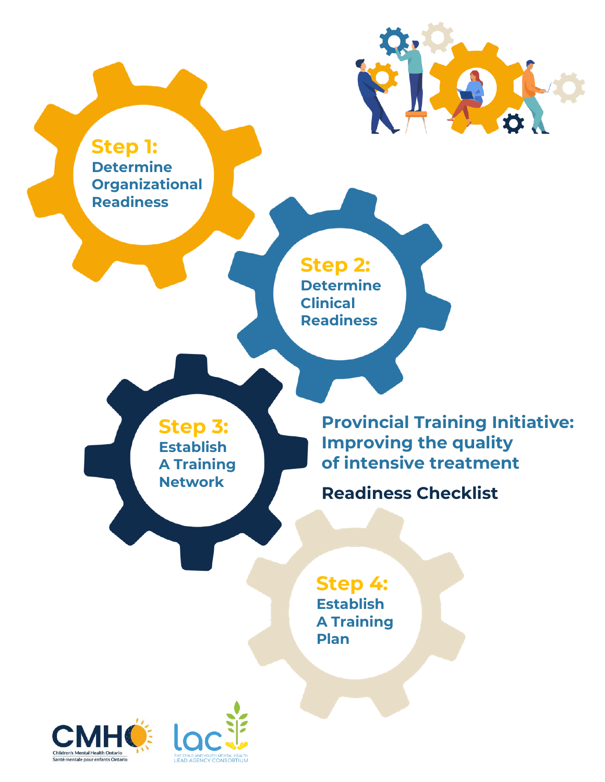**Step 1: Determine Organizational Readiness**

> **Step 2: Determine Clinical Readiness**

**Step 3: Establish A Training Network**

**Provincial Training Initiative: Improving the quality of intensive treatment**

O

**Readiness Checklist**

**Step 4: Establish A Training Plan**



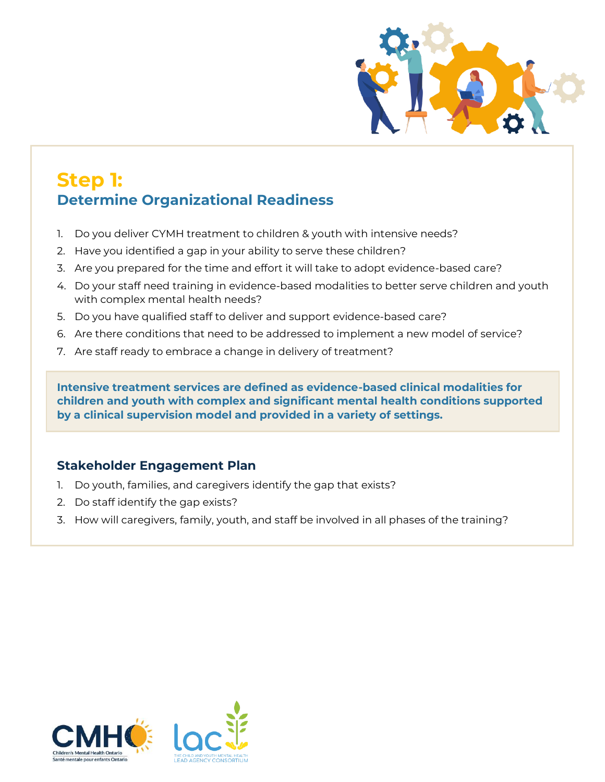

## **Step 1: Determine Organizational Readiness**

- 1. Do you deliver CYMH treatment to children & youth with intensive needs?
- 2. Have you identified a gap in your ability to serve these children?
- 3. Are you prepared for the time and effort it will take to adopt evidence-based care?
- 4. Do your staff need training in evidence-based modalities to better serve children and youth with complex mental health needs?
- 5. Do you have qualified staff to deliver and support evidence-based care?
- 6. Are there conditions that need to be addressed to implement a new model of service?
- 7. Are staff ready to embrace a change in delivery of treatment?

**Intensive treatment services are defined as evidence-based clinical modalities for children and youth with complex and significant mental health conditions supported by a clinical supervision model and provided in a variety of settings.**

### **Stakeholder Engagement Plan**

- 1. Do youth, families, and caregivers identify the gap that exists?
- 2. Do staff identify the gap exists?
- 3. How will caregivers, family, youth, and staff be involved in all phases of the training?

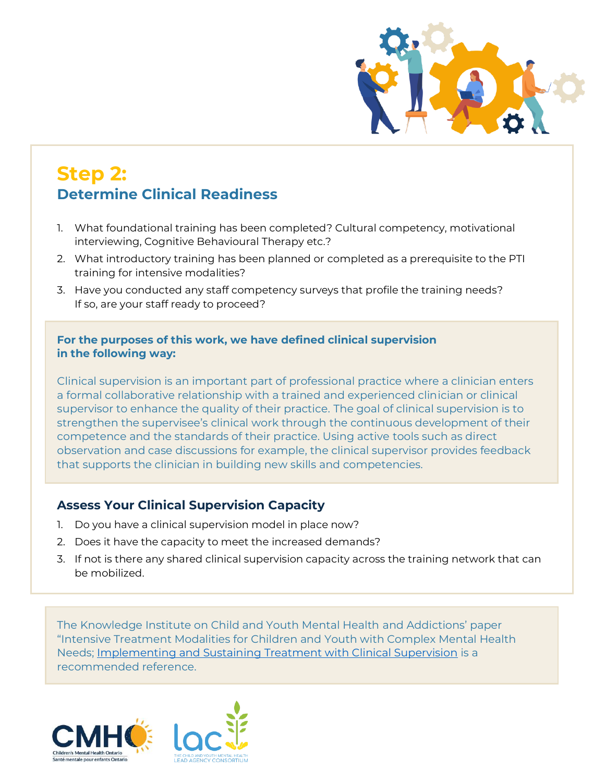

# **Step 2: Determine Clinical Readiness**

- 1. What foundational training has been completed? Cultural competency, motivational interviewing, Cognitive Behavioural Therapy etc.?
- 2. What introductory training has been planned or completed as a prerequisite to the PTI training for intensive modalities?
- 3. Have you conducted any staff competency surveys that profile the training needs? If so, are your staff ready to proceed?

#### **For the purposes of this work, we have defined clinical supervision in the following way:**

Clinical supervision is an important part of professional practice where a clinician enters a formal collaborative relationship with a trained and experienced clinician or clinical supervisor to enhance the quality of their practice. The goal of clinical supervision is to strengthen the supervisee's clinical work through the continuous development of their competence and the standards of their practice. Using active tools such as direct observation and case discussions for example, the clinical supervisor provides feedback that supports the clinician in building new skills and competencies.

#### **Assess Your Clinical Supervision Capacity**

- 1. Do you have a clinical supervision model in place now?
- 2. Does it have the capacity to meet the increased demands?
- 3. If not is there any shared clinical supervision capacity across the training network that can be mobilized.

The Knowledge Institute on Child and Youth Mental Health and Addictions' paper "Intensive Treatment Modalities for Children and Youth with Complex Mental Health Needs; [Implementing and Sustaining Treatment with Clinical Supervision](https://cmho.sharepoint.com/:b:/s/collaboration/EakSr0DP8DVJvH2snRMfjk8B_QG4pPUhQ_9ECkUhWiMvdQ?e=BHfJ2D) is a recommended reference.

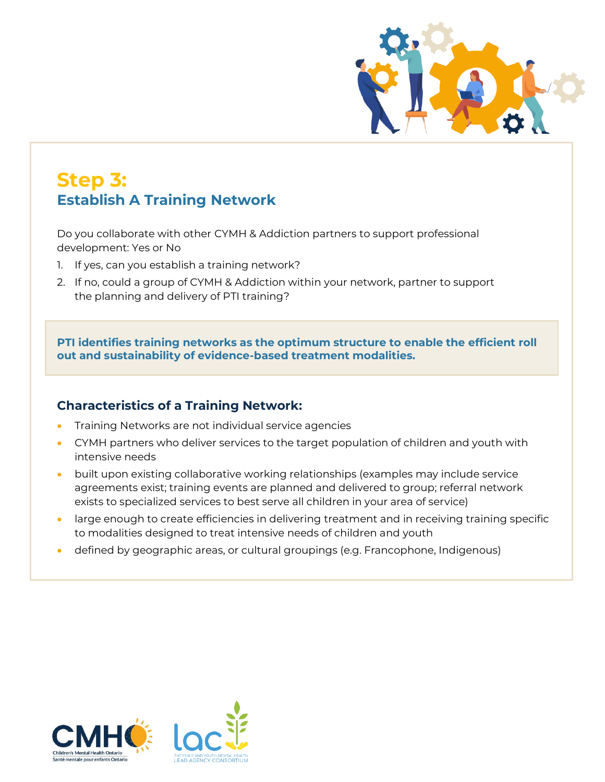

## **Step 3: Establish A Training Network**

Do you collaborate with other CYMH & Addiction partners to support professional development: Yes or No

- 1. If yes, can you establish a training network?
- 2. If no, could a group of CYMH & Addiction within your network, partner to support the planning and delivery of PTI training?

**PTI identifies training networks as the optimum structure to enable the efficient roll out and sustainability of evidence-based treatment modalities.**

#### **Characteristics of a Training Network:**

- Training Networks are not individual service agencies
- CYMH partners who deliver services to the target population of children and youth with intensive needs
- built upon existing collaborative working relationships (examples may include service agreements exist; training events are planned and delivered to group; referral network exists to specialized services to best serve all children in your area of service)
- large enough to create efficiencies in delivering treatment and in receiving training specific to modalities designed to treat intensive needs of children and youth
- defined by geographic areas, or cultural groupings (e.g. Francophone, Indigenous)